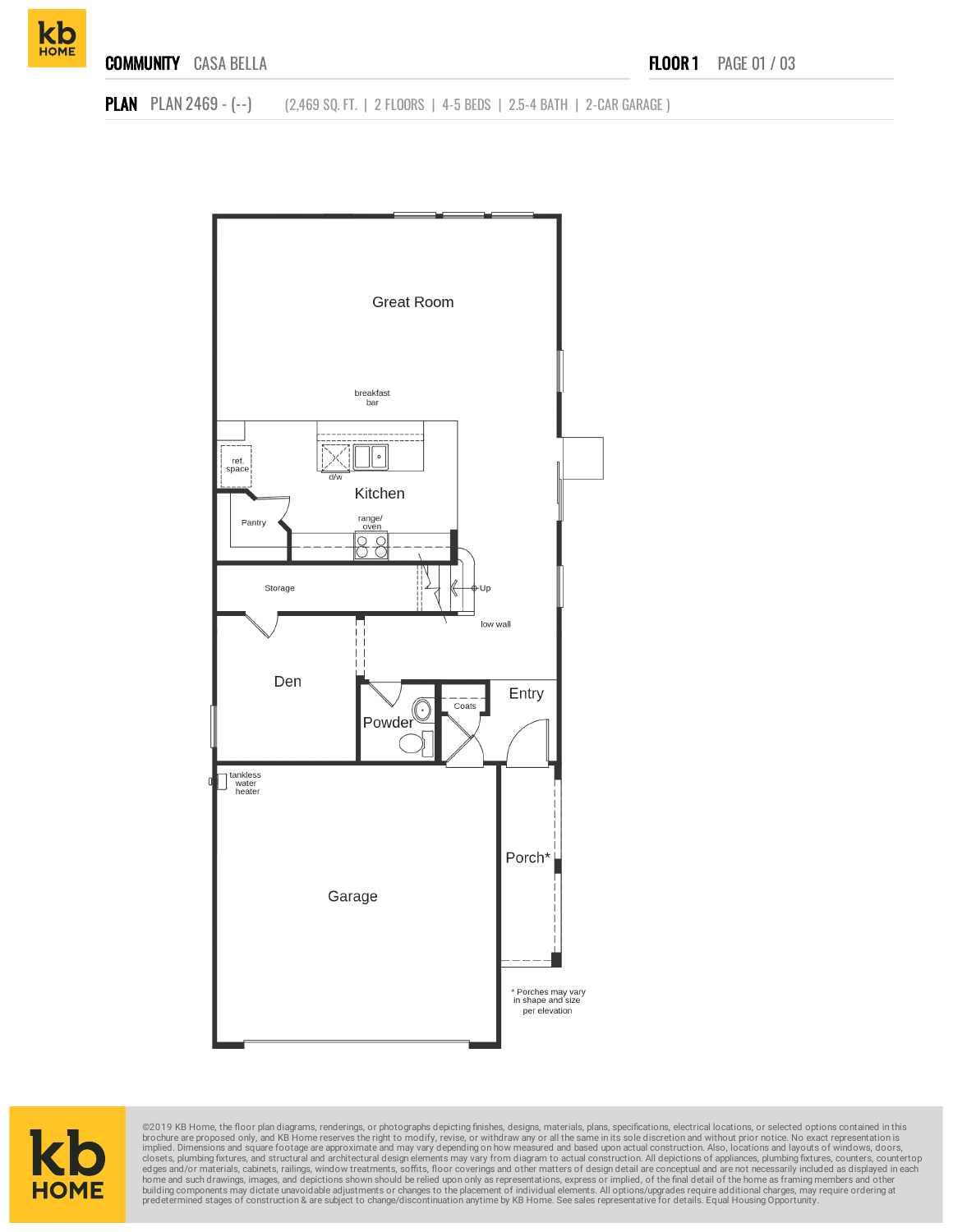

**PLAN** PLAN 2469 - (--) (2,469 SQ. FT. | 2 FLOORS | 4-5 BEDS | 2.5-4 BATH | 2-CAR GARAGE )





©2019 KB Home, the floor plan diagrams, renderings, or photographs depicting finishes, designs, materials, plans, specifications, electrical locations, or selected options contained in this brookure are proposed only, and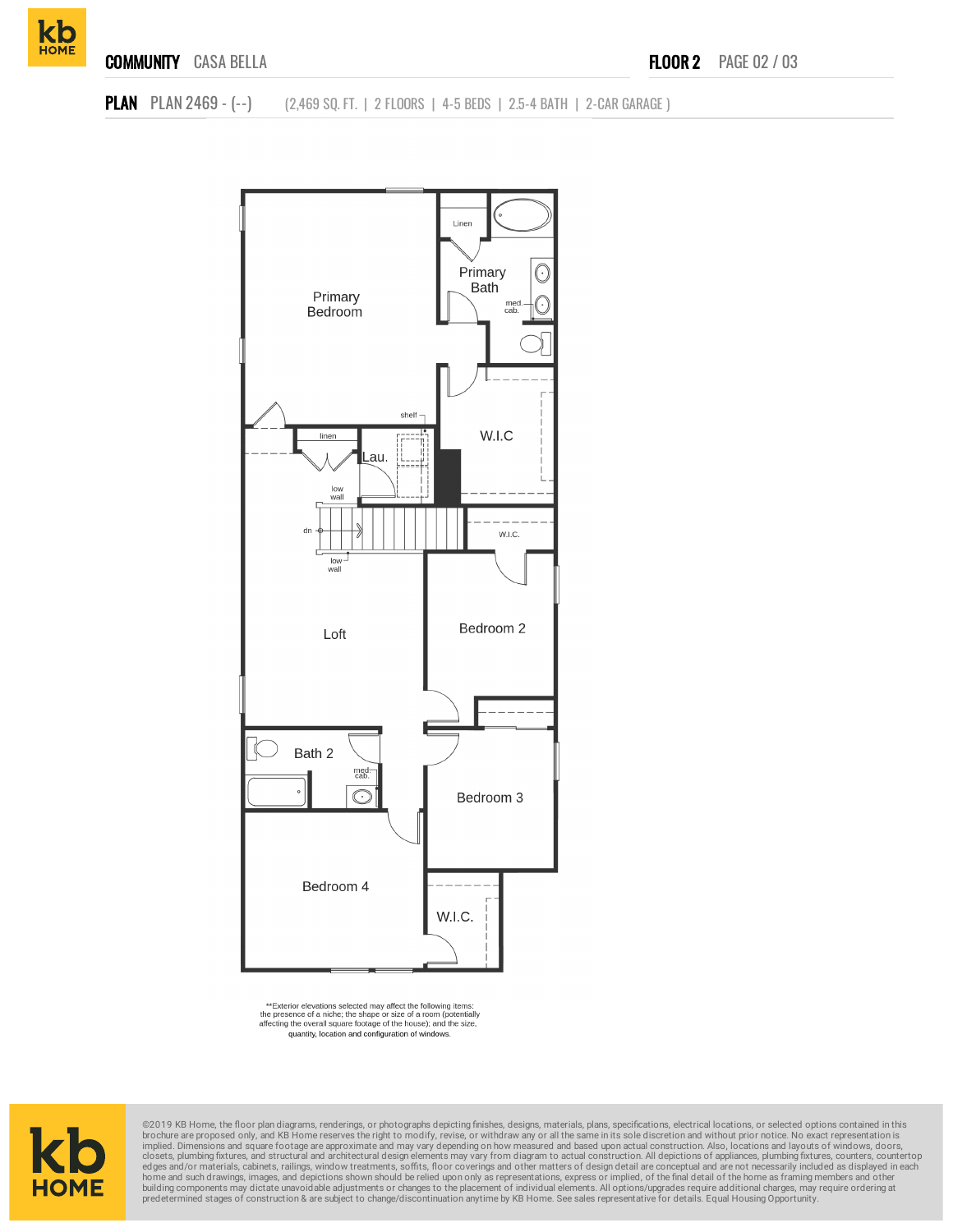



\*\*Exterior elevations selected may affect the following items:<br>the presence of a niche; the shape or size of a room (potentially<br>affecting the overall square footage of the house); and the size, quantity, location and configuration of windows.



©2019 KB Home, the floor plan diagrams, renderings, or photographs depicting finishes, designs, materials, plans, specifications, electrical locations, or selected options contained in this brochure are proposed only, and KB Home reserves the right to modify, revise, or withdraw any or all the same in its sole discretion and without prior notice. No exact representation is<br>implied. Dimensions and square foota home and such drawings, images, and depictions shown should be relied upon only as representations, express or implied, of the final detail of the home as framing members and other<br>building components may dictate unavoidab